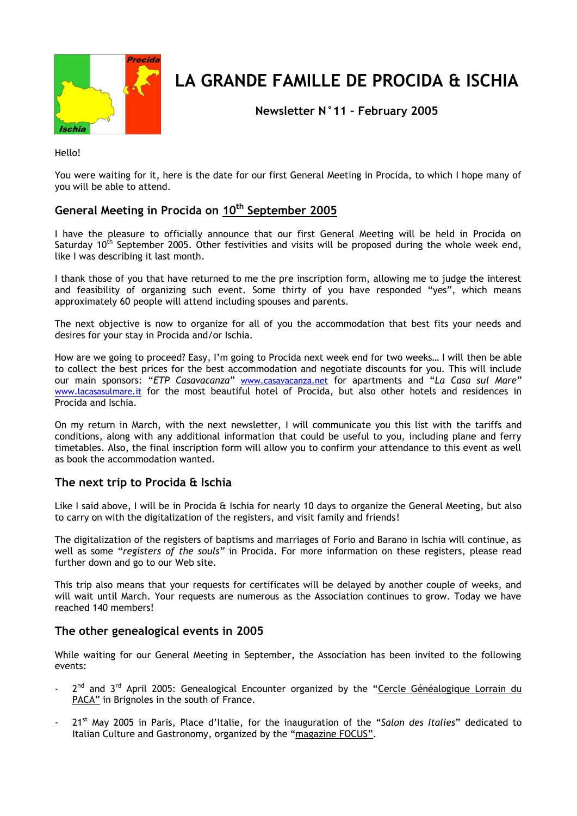

# **LA GRANDE FAMILLE DE PROCIDA & ISCHIA**

**Newsletter N°11 – February 2005**

Hello!

You were waiting for it, here is the date for our first General Meeting in Procida, to which I hope many of you will be able to attend.

## **General Meeting in Procida on 10th September 2005**

I have the pleasure to officially announce that our first General Meeting will be held in Procida on Saturday 10<sup>th</sup> September 2005. Other festivities and visits will be proposed during the whole week end, like I was describing it last month.

I thank those of you that have returned to me the pre inscription form, allowing me to judge the interest and feasibility of organizing such event. Some thirty of you have responded "yes", which means approximately 60 people will attend including spouses and parents.

The next objective is now to organize for all of you the accommodation that best fits your needs and desires for your stay in Procida and/or Ischia.

How are we going to proceed? Easy, I'm going to Procida next week end for two weeks… I will then be able to collect the best prices for the best accommodation and negotiate discounts for you. This will include our main sponsors: "*ETP Casavacanza*" [www.casavacanza.net](http://www.casavacanza.net/) for apartments and "*La Casa sul Mare*" [www.lacasasulmare.it](http://www.lacasasulmare.it/) for the most beautiful hotel of Procida, but also other hotels and residences in Procida and Ischia.

On my return in March, with the next newsletter, I will communicate you this list with the tariffs and conditions, along with any additional information that could be useful to you, including plane and ferry timetables. Also, the final inscription form will allow you to confirm your attendance to this event as well as book the accommodation wanted.

## **The next trip to Procida & Ischia**

Like I said above, I will be in Procida & Ischia for nearly 10 days to organize the General Meeting, but also to carry on with the digitalization of the registers, and visit family and friends!

The digitalization of the registers of baptisms and marriages of Forio and Barano in Ischia will continue, as well as some "*registers of the souls"* in Procida. For more information on these registers, please read further down and go to our Web site.

This trip also means that your requests for certificates will be delayed by another couple of weeks, and will wait until March. Your requests are numerous as the Association continues to grow. Today we have reached 140 members!

#### **The other genealogical events in 2005**

While waiting for our General Meeting in September, the Association has been invited to the following events:

- 2<sup>nd</sup> and 3<sup>rd</sup> April 2005: Genealogical Encounter organized by the "Cercle Généalogique Lorrain du PACA" in Brignoles in the south of France.
- 21st May 2005 in Paris, Place d'Italie, for the inauguration of the "*Salon des Italies*" dedicated to Italian Culture and Gastronomy, organized by the "magazine FOCUS".